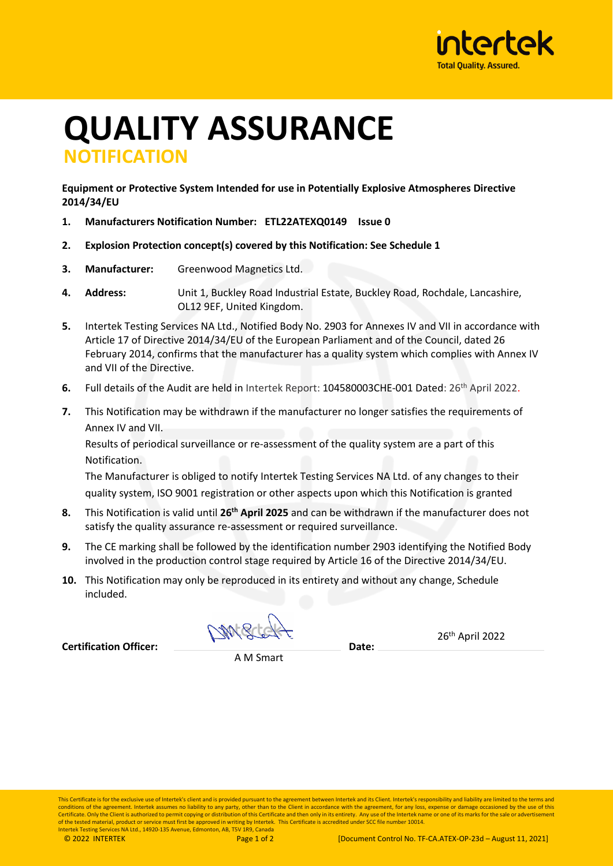

## **QUALITY ASSURANCE NOTIFICATION**

**Equipment or Protective System Intended for use in Potentially Explosive Atmospheres Directive 2014/34/EU**

- **1. Manufacturers Notification Number: ETL22ATEXQ0149 Issue 0**
- **2. Explosion Protection concept(s) covered by this Notification: See Schedule 1**
- **3. Manufacturer:** Greenwood Magnetics Ltd.
- **4. Address:** Unit 1, Buckley Road Industrial Estate, Buckley Road, Rochdale, Lancashire, OL12 9EF, United Kingdom.
- **5.** Intertek Testing Services NA Ltd., Notified Body No. 2903 for Annexes IV and VII in accordance with Article 17 of Directive 2014/34/EU of the European Parliament and of the Council, dated 26 February 2014, confirms that the manufacturer has a quality system which complies with Annex IV and VII of the Directive.
- 6. Full details of the Audit are held in Intertek Report: 104580003CHE-001 Dated: 26<sup>th</sup> April 2022.
- **7.** This Notification may be withdrawn if the manufacturer no longer satisfies the requirements of Annex IV and VII.

Results of periodical surveillance or re-assessment of the quality system are a part of this Notification.

The Manufacturer is obliged to notify Intertek Testing Services NA Ltd. of any changes to their quality system, ISO 9001 registration or other aspects upon which this Notification is granted

- **8.** This Notification is valid until **26 th April 2025** and can be withdrawn if the manufacturer does not satisfy the quality assurance re-assessment or required surveillance.
- **9.** The CE marking shall be followed by the identification number 2903 identifying the Notified Body involved in the production control stage required by Article 16 of the Directive 2014/34/EU.
- **10.** This Notification may only be reproduced in its entirety and without any change, Schedule included.

NME

26th April 2022

**Certification Officer: Date:**

A M Smart